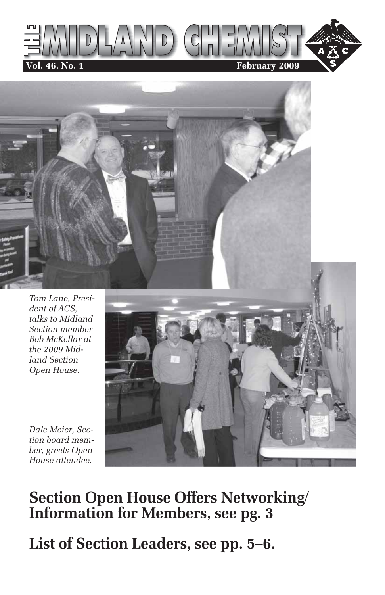



*Dale Meier, Section board member, greets Open House attendee.*

## **Section Open House Offers Networking/ Information for Members, see pg. 3**

**List of Section Leaders, see pp. 5–6.**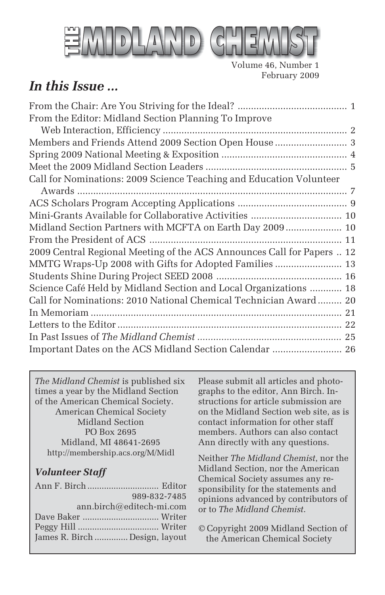

Volume 46, Number 1 February 2009

## *In this Issue ...*

| From the Editor: Midland Section Planning To Improve                   |
|------------------------------------------------------------------------|
|                                                                        |
|                                                                        |
|                                                                        |
|                                                                        |
| Call for Nominations: 2009 Science Teaching and Education Volunteer    |
|                                                                        |
|                                                                        |
| Mini-Grants Available for Collaborative Activities  10                 |
| Midland Section Partners with MCFTA on Earth Day 2009 10               |
|                                                                        |
| 2009 Central Regional Meeting of the ACS Announces Call for Papers  12 |
| MMTG Wraps-Up 2008 with Gifts for Adopted Families  13                 |
|                                                                        |
| Science Café Held by Midland Section and Local Organizations  18       |
| Call for Nominations: 2010 National Chemical Technician Award  20      |
|                                                                        |
|                                                                        |
|                                                                        |
| Important Dates on the ACS Midland Section Calendar  26                |

*The Midland Chemist* is published six times a year by the Midland Section of the American Chemical Society. American Chemical Society Midland Section PO Box 2695 Midland, MI 48641-2695 http://membership.acs.org/M/Midl

#### *Volunteer Staff*

| 989-832-7485                   |  |
|--------------------------------|--|
| $ann.birch@editech-mi.com$     |  |
|                                |  |
|                                |  |
| James R. Birch  Design, layout |  |

Please submit all articles and photographs to the editor, Ann Birch. Instructions for article submission are on the Midland Section web site, as is contact information for other staff members. Authors can also contact Ann directly with any questions.

Neither *The Midland Chemist*, nor the Midland Section, nor the American Chemical Society assumes any responsibility for the statements and opinions advanced by contributors of or to *The Midland Chemist*.

© Copyright 2009 Midland Section of the American Chemical Society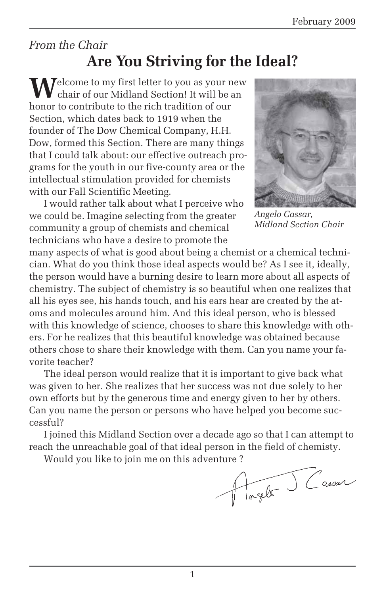## *From the Chair* **Are You Striving for the Ideal?**

**M**elcome to my first letter to you as your new chair of our Midland Section! It will be an honor to contribute to the rich tradition of our Section, which dates back to 1919 when the founder of The Dow Chemical Company, H.H. Dow, formed this Section. There are many things that I could talk about: our effective outreach programs for the youth in our five-county area or the intellectual stimulation provided for chemists with our Fall Scientific Meeting.

I would rather talk about what I perceive who we could be. Imagine selecting from the greater community a group of chemists and chemical technicians who have a desire to promote the



*Angelo Cassar, Midland Section Chair*

many aspects of what is good about being a chemist or a chemical technician. What do you think those ideal aspects would be? As I see it, ideally, the person would have a burning desire to learn more about all aspects of chemistry. The subject of chemistry is so beautiful when one realizes that all his eyes see, his hands touch, and his ears hear are created by the atoms and molecules around him. And this ideal person, who is blessed with this knowledge of science, chooses to share this knowledge with others. For he realizes that this beautiful knowledge was obtained because others chose to share their knowledge with them. Can you name your favorite teacher?

The ideal person would realize that it is important to give back what was given to her. She realizes that her success was not due solely to her own efforts but by the generous time and energy given to her by others. Can you name the person or persons who have helped you become successful?

I joined this Midland Section over a decade ago so that I can attempt to reach the unreachable goal of that ideal person in the field of chemisty.

Would you like to join me on this adventure ?<br>  $\begin{picture}(16,17) \put(0,0){\line(1,0){10}} \put(1,0){\line(1,0){10}} \put(1,0){\line(1,0){10}} \put(1,0){\line(1,0){10}} \put(1,0){\line(1,0){10}} \put(1,0){\line(1,0){10}} \put(1,0){\line(1,0){10}} \put(1,0){\line(1,0){10}} \put(1,0){\line(1,0){10}} \put(1,0){\line$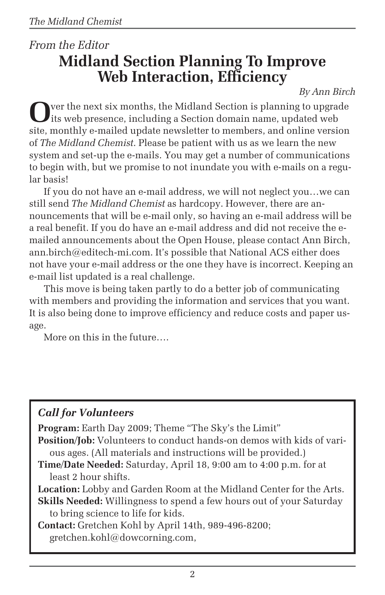## *From the Editor* **Midland Section Planning To Improve Web Interaction, Efficiency**

*By Ann Birch*

**O**ver the next six months, the Midland Section is planning to upgrade its web presence, including a Section domain name, updated web site, monthly e-mailed update newsletter to members, and online version of *The Midland Chemist*. Please be patient with us as we learn the new system and set-up the e-mails. You may get a number of communications to begin with, but we promise to not inundate you with e-mails on a regular basis!

If you do not have an e-mail address, we will not neglect you…we can still send *The Midland Chemist* as hardcopy. However, there are announcements that will be e-mail only, so having an e-mail address will be a real benefit. If you do have an e-mail address and did not receive the emailed announcements about the Open House, please contact Ann Birch, ann.birch@editech-mi.com. It's possible that National ACS either does not have your e-mail address or the one they have is incorrect. Keeping an e-mail list updated is a real challenge.

This move is being taken partly to do a better job of communicating with members and providing the information and services that you want. It is also being done to improve efficiency and reduce costs and paper usage.

More on this in the future….

#### *Call for Volunteers*

**Program:** Earth Day 2009; Theme "The Sky's the Limit"

**Position/Job:** Volunteers to conduct hands-on demos with kids of various ages. (All materials and instructions will be provided.)

**Time/Date Needed:** Saturday, April 18, 9:00 am to 4:00 p.m. for at least 2 hour shifts.

**Location:** Lobby and Garden Room at the Midland Center for the Arts.

**Skills Needed:** Willingness to spend a few hours out of your Saturday to bring science to life for kids.

**Contact:** Gretchen Kohl by April 14th, 989-496-8200; gretchen.kohl@dowcorning.com,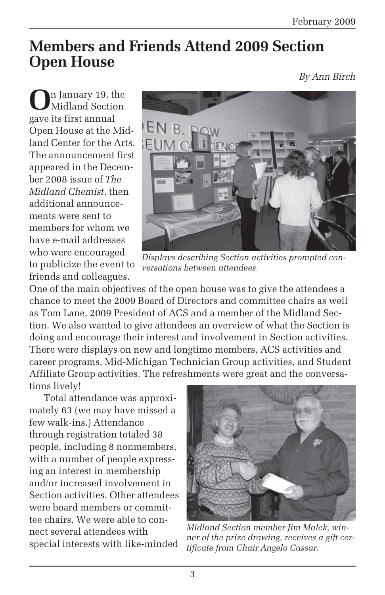## **Members and Friends Attend 2009 Section Open House**

*By Ann Birch*

**O**n January 19, the Midland Section gave its first annual Open House at the Midland Center for the Arts. The announcement first appeared in the December 2008 issue of *The Midland Chemist*, then additional announcements were sent to members for whom we have e-mail addresses who were encouraged to publicize the event to friends and colleagues.



*Displays describing Section activities prompted conversations between attendees.*

One of the main objectives of the open house was to give the attendees a chance to meet the 2009 Board of Directors and committee chairs as well as Tom Lane, 2009 President of ACS and a member of the Midland Section. We also wanted to give attendees an overview of what the Section is doing and encourage their interest and involvement in Section activities. There were displays on new and longtime members, ACS activities and career programs, Mid-Michigan Technician Group activities, and Student Affiliate Group activities. The refreshments were great and the conversations lively!

Total attendance was approximately 63 (we may have missed a few walk-ins.) Attendance through registration totaled 38 people, including 8 nonmembers, with a number of people expressing an interest in membership and/or increased involvement in Section activities. Other attendees were board members or committee chairs. We were able to connect several attendees with special interests with like-minded



*Midland Section member Jim Malek, winner of the prize drawing, receives a gift certificate from Chair Angelo Cassar.*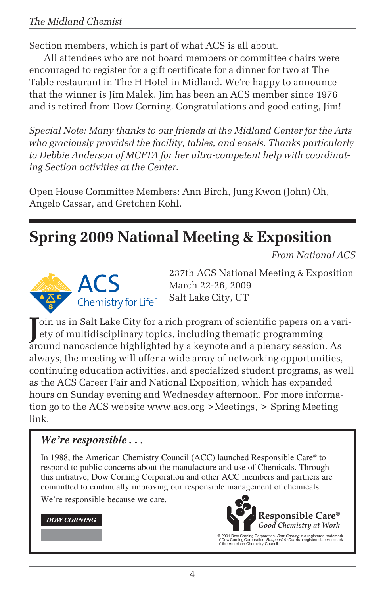Section members, which is part of what ACS is all about.

All attendees who are not board members or committee chairs were encouraged to register for a gift certificate for a dinner for two at The Table restaurant in The H Hotel in Midland. We're happy to announce that the winner is Jim Malek. Jim has been an ACS member since 1976 and is retired from Dow Corning. Congratulations and good eating, Jim!

*Special Note: Many thanks to our friends at the Midland Center for the Arts who graciously provided the facility, tables, and easels. Thanks particularly to Debbie Anderson of MCFTA for her ultra-competent help with coordinating Section activities at the Center.*

Open House Committee Members: Ann Birch, Jung Kwon (John) Oh, Angelo Cassar, and Gretchen Kohl.

## **Spring 2009 National Meeting & Exposition**

*From National ACS*



237th ACS National Meeting & Exposition March 22-26, 2009 Salt Lake City, UT

Join us in Salt Lake City for a rich program of scientific papers on a vari-<br>ety of multidisciplinary topics, including thematic programming ety of multidisciplinary topics, including thematic programming around nanoscience highlighted by a keynote and a plenary session. As always, the meeting will offer a wide array of networking opportunities, continuing education activities, and specialized student programs, as well as the ACS Career Fair and National Exposition, which has expanded hours on Sunday evening and Wednesday afternoon. For more information go to the ACS website www.acs.org >Meetings, > Spring Meeting link.

#### *We're responsible . . .*

In 1988, the American Chemistry Council (ACC) launched Responsible Care® to respond to public concerns about the manufacture and use of Chemicals. Through this initiative, Dow Corning Corporation and other ACC members and partners are committed to continually improving our responsible management of chemicals.

We're responsible because we care.

#### **DOW CORNING**



© 2001 Dow Corning Corporation. Dow Corning is a registered trademark of Dow Corning Corporation. Responsible Care is a registered service mark of the American Chemistry Council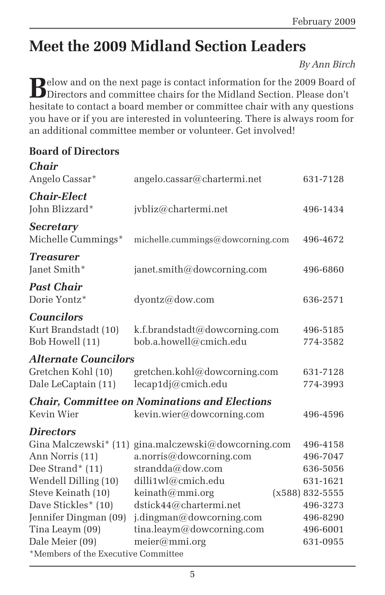## **Meet the 2009 Midland Section Leaders**

*By Ann Birch*

**B**elow and on the next page is contact information for the 2009 Board of Directors and committee chairs for the Midland Section. Please don't hesitate to contact a board member or committee chair with any questions you have or if you are interested in volunteering. There is always room for an additional committee member or volunteer. Get involved!

#### **Board of Directors**

 $\overline{C}$ <sup>1</sup>

| <b>C.nair</b>                                                                                                                       |                                                                                                                                                  |                                                                                 |
|-------------------------------------------------------------------------------------------------------------------------------------|--------------------------------------------------------------------------------------------------------------------------------------------------|---------------------------------------------------------------------------------|
| Angelo Cassar*                                                                                                                      | angelo.cassar@chartermi.net                                                                                                                      | 631-7128                                                                        |
| <b>Chair-Elect</b><br>John Blizzard*                                                                                                | jvbliz@chartermi.net                                                                                                                             | 496-1434                                                                        |
| <b>Secretary</b><br>Michelle Cummings*                                                                                              | michelle.cummings@dowcorning.com                                                                                                                 | 496-4672                                                                        |
| <b>Treasurer</b><br>Janet Smith*                                                                                                    | janet.smith@dowcorning.com                                                                                                                       | 496-6860                                                                        |
| <b>Past Chair</b><br>Dorie Yontz*                                                                                                   | dyontz@dow.com                                                                                                                                   | 636-2571                                                                        |
| <b>Councilors</b><br>Kurt Brandstadt (10)<br>Bob Howell (11)                                                                        | k.f.brandstadt@dowcorning.com<br>bob.a.howell@cmich.edu                                                                                          | 496-5185<br>774-3582                                                            |
| <i><b>Alternate Councilors</b></i>                                                                                                  |                                                                                                                                                  |                                                                                 |
| Gretchen Kohl (10)<br>Dale LeCaptain (11)                                                                                           | gretchen.kohl@dowcorning.com<br>lecap1dj@cmich.edu                                                                                               | 631-7128<br>774-3993                                                            |
| Kevin Wier                                                                                                                          | <b>Chair, Committee on Nominations and Elections</b><br>kevin.wier@dowcorning.com                                                                | 496-4596                                                                        |
| <b>Directors</b>                                                                                                                    |                                                                                                                                                  |                                                                                 |
| Gina Malczewski* (11)<br>Ann Norris (11)<br>Dee Strand* $(11)$<br>Wendell Dilling (10)<br>Steve Keinath (10)<br>Dave Stickles* (10) | gina.malczewski@dowcorning.com<br>a.norris@dowcorning.com<br>strandda@dow.com<br>dilli1wl@cmich.edu<br>keinath@mmi.org<br>dstick44@chartermi.net | 496-4158<br>496-7047<br>636-5056<br>631-1621<br>$(x588) 832 - 5555$<br>496-3273 |
| Jennifer Dingman (09)<br>Tina Leaym (09)<br>Dale Meier (09)<br>*Members of the Executive Committee                                  | j.dingman@dowcorning.com<br>tina.leaym@dowcorning.com<br>meier@mmi.org                                                                           | 496-8290<br>496-6001<br>631-0955                                                |
|                                                                                                                                     |                                                                                                                                                  |                                                                                 |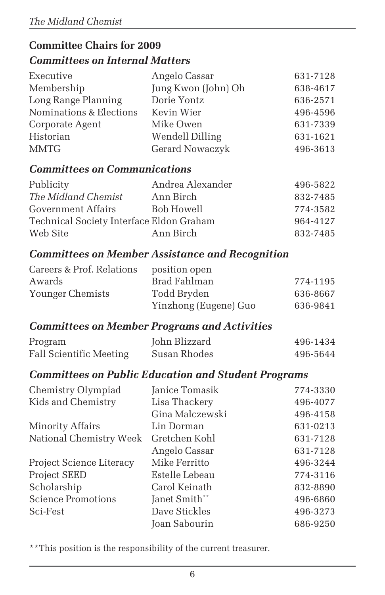#### **Committee Chairs for 2009** *Committees on Internal Matters*

| Executive               | Angelo Cassar       | 631-7128 |
|-------------------------|---------------------|----------|
| Membership              | Jung Kwon (John) Oh | 638-4617 |
| Long Range Planning     | Dorie Yontz         | 636-2571 |
| Nominations & Elections | Kevin Wier          | 496-4596 |
| Corporate Agent         | Mike Owen           | 631-7339 |
| Historian               | Wendell Dilling     | 631-1621 |
| MMTG                    | Gerard Nowaczyk     | 496-3613 |

#### *Committees on Communications*

| Publicity                                | Andrea Alexander | 496-5822 |
|------------------------------------------|------------------|----------|
| The Midland Chemist                      | Ann Birch        | 832-7485 |
| Government Affairs                       | Bob Howell       | 774-3582 |
| Technical Society Interface Eldon Graham |                  | 964-4127 |
| Web Site                                 | Ann Birch        | 832-7485 |

#### *Committees on Member Assistance and Recognition*

| Careers & Prof. Relations | position open         |          |
|---------------------------|-----------------------|----------|
| Awards                    | Brad Fahlman          | 774-1195 |
| Younger Chemists          | Todd Bryden           | 636-8667 |
|                           | Yinzhong (Eugene) Guo | 636-9841 |

#### *Committees on Member Programs and Activities*

| Program                        | John Blizzard | 496-1434 |
|--------------------------------|---------------|----------|
| <b>Fall Scientific Meeting</b> | Susan Rhodes  | 496-5644 |

#### *Committees on Public Education and Student Programs*

| Chemistry Olympiad        | Janice Tomasik  | 774-3330 |
|---------------------------|-----------------|----------|
| Kids and Chemistry        | Lisa Thackery   | 496-4077 |
|                           | Gina Malczewski | 496-4158 |
| Minority Affairs          | Lin Dorman      | 631-0213 |
| National Chemistry Week   | Gretchen Kohl   | 631-7128 |
|                           | Angelo Cassar   | 631-7128 |
| Project Science Literacy  | Mike Ferritto   | 496-3244 |
| <b>Project SEED</b>       | Estelle Lebeau  | 774-3116 |
| Scholarship               | Carol Keinath   | 832-8890 |
| <b>Science Promotions</b> | Janet Smith**   | 496-6860 |
| Sci-Fest                  | Dave Stickles   | 496-3273 |
|                           | Joan Sabourin   | 686-9250 |

\*\*This position is the responsibility of the current treasurer.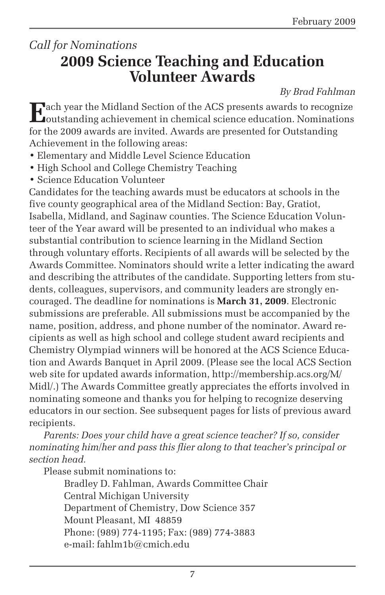## *Call for Nominations* **2009 Science Teaching and Education Volunteer Awards**

#### *By Brad Fahlman*

**E**ach year the Midland Section of the ACS presents awards to recognize outstanding achievement in chemical science education. Nominations for the 2009 awards are invited. Awards are presented for Outstanding Achievement in the following areas:

- Elementary and Middle Level Science Education
- High School and College Chemistry Teaching
- Science Education Volunteer

Candidates for the teaching awards must be educators at schools in the five county geographical area of the Midland Section: Bay, Gratiot, Isabella, Midland, and Saginaw counties. The Science Education Volunteer of the Year award will be presented to an individual who makes a substantial contribution to science learning in the Midland Section through voluntary efforts. Recipients of all awards will be selected by the Awards Committee. Nominators should write a letter indicating the award and describing the attributes of the candidate. Supporting letters from students, colleagues, supervisors, and community leaders are strongly encouraged. The deadline for nominations is **March 31, 2009**. Electronic submissions are preferable. All submissions must be accompanied by the name, position, address, and phone number of the nominator. Award recipients as well as high school and college student award recipients and Chemistry Olympiad winners will be honored at the ACS Science Education and Awards Banquet in April 2009. (Please see the local ACS Section web site for updated awards information, http://membership.acs.org/M/ Midl/.) The Awards Committee greatly appreciates the efforts involved in nominating someone and thanks you for helping to recognize deserving educators in our section. See subsequent pages for lists of previous award recipients.

*Parents: Does your child have a great science teacher? If so, consider nominating him/her and pass this flier along to that teacher's principal or section head.*

Please submit nominations to:

Bradley D. Fahlman, Awards Committee Chair Central Michigan University Department of Chemistry, Dow Science 357 Mount Pleasant, MI 48859 Phone: (989) 774-1195; Fax: (989) 774-3883 e-mail: fahlm1b@cmich.edu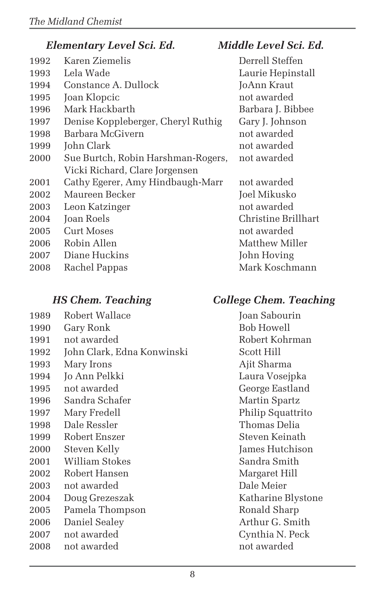#### *Elementary Level Sci. Ed. Middle Level Sci. Ed.*

| 1992 | Karen Ziemelis                 |
|------|--------------------------------|
| 1993 | Lela Wade                      |
| 1994 | Constance A. Dullock           |
| 1995 | Joan Klopcic                   |
| 1996 | Mark Hackbarth                 |
| 1997 | Denise Koppleberger, Cheryl R  |
| 1998 | Barbara McGivern               |
| 1999 | John Clark                     |
| 2000 | Sue Burtch, Robin Harshman-I   |
|      | Vicki Richard, Clare Jorgensen |
| 2001 | Cathy Egerer, Amy Hindbaugh    |
| 2002 | Maureen Becker                 |
| 2003 | Leon Katzinger                 |
| 2004 | Joan Roels                     |
| 2005 | Curt Moses                     |
| 2006 | Robin Allen                    |
| 2007 | Diane Huckins                  |
|      |                                |

2008 Rachel Pappas Mark Koschmann

- 1989 Robert Wallace Joan Sabourin
- 1990 Gary Ronk Bob Howell
- 1991 not awarded Robert Kohrman
- 1992 John Clark, Edna Konwinski Scott Hill
- 1993 Mary Irons Ajit Sharma
- 1994 Jo Ann Pelkki Laura Vosejpka
- 1995 not awarded George Eastland
- 1996 Sandra Schafer Martin Spartz
- 1997 Mary Fredell Philip Squattrito
- 1998 Dale Ressler Thomas Delia
- 1999 Robert Enszer Steven Keinath
- 2000 Steven Kelly James Hutchison
- 2001 William Stokes Sandra Smith
- 2002 Robert Hansen Margaret Hill
- 2003 not awarded Dale Meier
- 2004 Doug Grezeszak Katharine Blystone
- 2005 Pamela Thompson Ronald Sharp
- 2006 Daniel Sealey Arthur G. Smith
- 2007 not awarded Cynthia N. Peck
- 2008 not awarded not awarded not awarded

Derrell Steffen Laurie Hepinstall **10Ann Kraut** not awarded Barbara J. Bibbee uthig Gary J. Johnson not awarded not awarded Rogers, not awarded

-Marr not awarded Joel Mikusko not awarded Christine Brillhart not awarded Matthew Miller John Hoving

#### *HS Chem. Teaching College Chem. Teaching*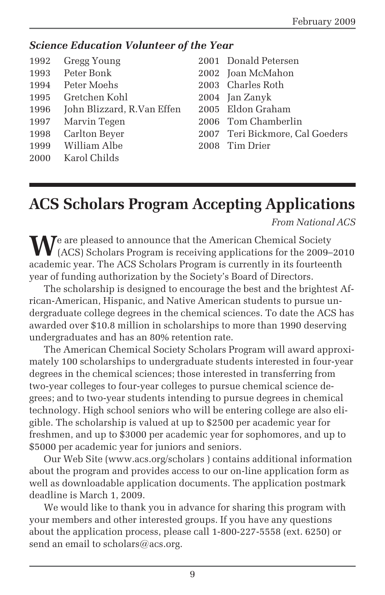#### *Science Education Volunteer of the Year*

| Gregg Young<br>1992 |
|---------------------|
|---------------------|

- 
- 1994 Peter Moehs 2003 Charles Roth
- 1995 Gretchen Kohl 2004 Jan Zanyk
- 1996 John Blizzard, R.Van Effen 2005 Eldon Graham
- 1997 Marvin Tegen 2006 Tom Chamberlin
- 
- 1999 William Albe 2008 Tim Drier
- 2000 Karol Childs
- 2001 Donald Petersen 1993 Peter Bonk 2002 Joan McMahon
	-
	-
	-
	-
	-
- 1998 Carlton Beyer 2007 Teri Bickmore, Cal Goeders
	-

## **ACS Scholars Program Accepting Applications**

*From National ACS*

We are pleased to announce that the American Chemical Society (ACS) Scholars Program is receiving applications for the 2009–2010 academic year. The ACS Scholars Program is currently in its fourteenth year of funding authorization by the Society's Board of Directors.

The scholarship is designed to encourage the best and the brightest African-American, Hispanic, and Native American students to pursue undergraduate college degrees in the chemical sciences. To date the ACS has awarded over \$10.8 million in scholarships to more than 1990 deserving undergraduates and has an 80% retention rate.

The American Chemical Society Scholars Program will award approximately 100 scholarships to undergraduate students interested in four-year degrees in the chemical sciences; those interested in transferring from two-year colleges to four-year colleges to pursue chemical science degrees; and to two-year students intending to pursue degrees in chemical technology. High school seniors who will be entering college are also eligible. The scholarship is valued at up to \$2500 per academic year for freshmen, and up to \$3000 per academic year for sophomores, and up to \$5000 per academic year for juniors and seniors.

Our Web Site (www.acs.org/scholars ) contains additional information about the program and provides access to our on-line application form as well as downloadable application documents. The application postmark deadline is March 1, 2009.

We would like to thank you in advance for sharing this program with your members and other interested groups. If you have any questions about the application process, please call 1-800-227-5558 (ext. 6250) or send an email to scholars@acs.org.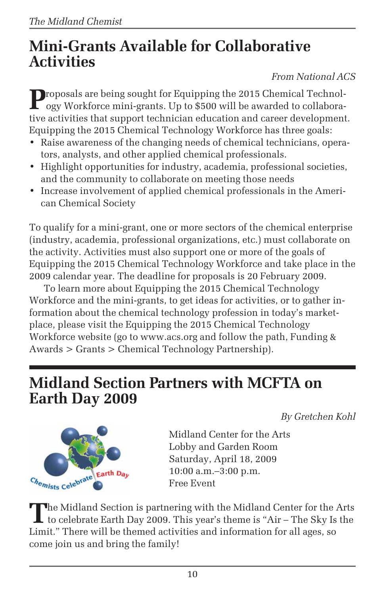## **Mini-Grants Available for Collaborative Activities**

#### *From National ACS*

**P**roposals are being sought for Equipping the 2015 Chemical Technology Workforce mini-grants. Up to \$500 will be awarded to collaborative activities that support technician education and career development. Equipping the 2015 Chemical Technology Workforce has three goals:

- Raise awareness of the changing needs of chemical technicians, operators, analysts, and other applied chemical professionals.
- Highlight opportunities for industry, academia, professional societies, and the community to collaborate on meeting those needs
- Increase involvement of applied chemical professionals in the American Chemical Society

To qualify for a mini-grant, one or more sectors of the chemical enterprise (industry, academia, professional organizations, etc.) must collaborate on the activity. Activities must also support one or more of the goals of Equipping the 2015 Chemical Technology Workforce and take place in the 2009 calendar year. The deadline for proposals is 20 February 2009.

To learn more about Equipping the 2015 Chemical Technology Workforce and the mini-grants, to get ideas for activities, or to gather information about the chemical technology profession in today's marketplace, please visit the Equipping the 2015 Chemical Technology Workforce website (go to www.acs.org and follow the path, Funding & Awards > Grants > Chemical Technology Partnership).

## **Midland Section Partners with MCFTA on Earth Day 2009**

*By Gretchen Kohl*



Midland Center for the Arts Lobby and Garden Room Saturday, April 18, 2009 10:00 a.m.–3:00 p.m. Free Event

The Midland Section is partnering with the Midland Center for the Arts<br>to celebrate Earth Day 2009. This year's theme is "Air – The Sky Is the Limit." There will be themed activities and information for all ages, so come join us and bring the family!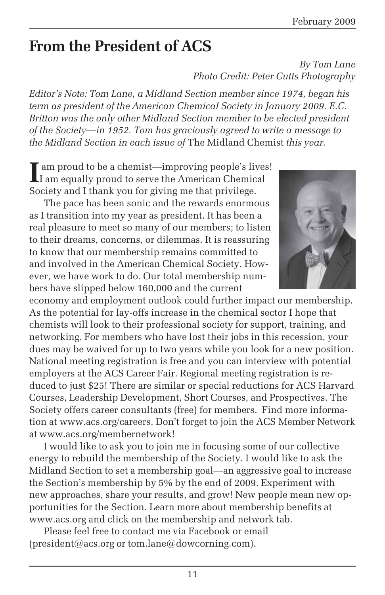## **From the President of ACS**

#### *By Tom Lane Photo Credit: Peter Cutts Photography*

*Editor's Note: Tom Lane, a Midland Section member since 1974, began his term as president of the American Chemical Society in January 2009. E.C. Britton was the only other Midland Section member to be elected president of the Society—in 1952. Tom has graciously agreed to write a message to the Midland Section in each issue of* The Midland Chemist *this year.*

**I** am proud to be a chemist—improving people's lives! I am equally proud to serve the American Chemical Society and I thank you for giving me that privilege.

The pace has been sonic and the rewards enormous as I transition into my year as president. It has been a real pleasure to meet so many of our members; to listen to their dreams, concerns, or dilemmas. It is reassuring to know that our membership remains committed to and involved in the American Chemical Society. However, we have work to do. Our total membership numbers have slipped below 160,000 and the current



economy and employment outlook could further impact our membership. As the potential for lay-offs increase in the chemical sector I hope that chemists will look to their professional society for support, training, and networking. For members who have lost their jobs in this recession, your dues may be waived for up to two years while you look for a new position. National meeting registration is free and you can interview with potential employers at the ACS Career Fair. Regional meeting registration is reduced to just \$25! There are similar or special reductions for ACS Harvard Courses, Leadership Development, Short Courses, and Prospectives. The Society offers career consultants (free) for members. Find more information at www.acs.org/careers. Don't forget to join the ACS Member Network at www.acs.org/membernetwork!

I would like to ask you to join me in focusing some of our collective energy to rebuild the membership of the Society. I would like to ask the Midland Section to set a membership goal—an aggressive goal to increase the Section's membership by 5% by the end of 2009. Experiment with new approaches, share your results, and grow! New people mean new opportunities for the Section. Learn more about membership benefits at www.acs.org and click on the membership and network tab.

Please feel free to contact me via Facebook or email (president@acs.org or tom.lane@dowcorning.com).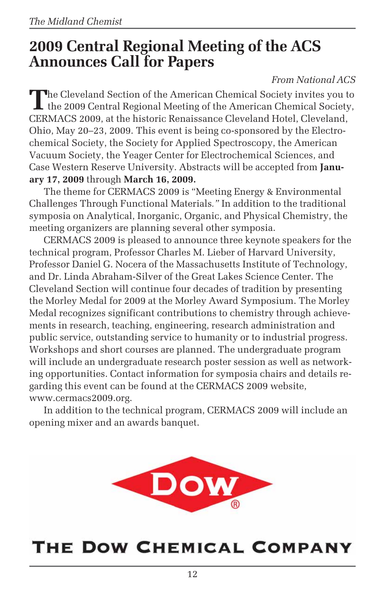## **2009 Central Regional Meeting of the ACS Announces Call for Papers**

#### *From National ACS*

The Cleveland Section of the American Chemical Society invites you to the 2009 Central Regional Meeting of the American Chemical Society, CERMACS 2009, at the historic Renaissance Cleveland Hotel, Cleveland, Ohio, May 20–23, 2009. This event is being co-sponsored by the Electrochemical Society, the Society for Applied Spectroscopy, the American Vacuum Society, the Yeager Center for Electrochemical Sciences, and Case Western Reserve University. Abstracts will be accepted from **January 17, 2009** through **March 16, 2009.**

The theme for CERMACS 2009 is "Meeting Energy & Environmental Challenges Through Functional Materials*."* In addition to the traditional symposia on Analytical, Inorganic, Organic, and Physical Chemistry, the meeting organizers are planning several other symposia.

CERMACS 2009 is pleased to announce three keynote speakers for the technical program, Professor Charles M. Lieber of Harvard University, Professor Daniel G. Nocera of the Massachusetts Institute of Technology, and Dr. Linda Abraham-Silver of the Great Lakes Science Center. The Cleveland Section will continue four decades of tradition by presenting the Morley Medal for 2009 at the Morley Award Symposium. The Morley Medal recognizes significant contributions to chemistry through achievements in research, teaching, engineering, research administration and public service, outstanding service to humanity or to industrial progress. Workshops and short courses are planned. The undergraduate program will include an undergraduate research poster session as well as networking opportunities. Contact information for symposia chairs and details regarding this event can be found at the CERMACS 2009 website, www.cermacs2009.org.

In addition to the technical program, CERMACS 2009 will include an opening mixer and an awards banquet.



## THE DOW CHEMICAL COMPANY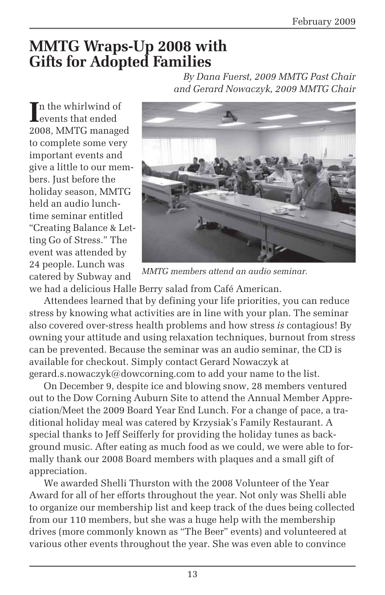### **MMTG Wraps-Up 2008 with Gifts for Adopted Families** *By Dana Fuerst, 2009 MMTG Past Chair*

In the whirlwind of<br>
events that ended events that ended 2008, MMTG managed to complete some very important events and give a little to our members. Just before the holiday season, MMTG held an audio lunchtime seminar entitled "Creating Balance & Letting Go of Stress." The event was attended by 24 people. Lunch was catered by Subway and



*and Gerard Nowaczyk, 2009 MMTG Chair*

*MMTG members attend an audio seminar.*

we had a delicious Halle Berry salad from Café American.

Attendees learned that by defining your life priorities, you can reduce stress by knowing what activities are in line with your plan. The seminar also covered over-stress health problems and how stress *is* contagious! By owning your attitude and using relaxation techniques, burnout from stress can be prevented. Because the seminar was an audio seminar, the CD is available for checkout. Simply contact Gerard Nowaczyk at gerard.s.nowaczyk@dowcorning.com to add your name to the list.

On December 9, despite ice and blowing snow, 28 members ventured out to the Dow Corning Auburn Site to attend the Annual Member Appreciation/Meet the 2009 Board Year End Lunch. For a change of pace, a traditional holiday meal was catered by Krzysiak's Family Restaurant. A special thanks to Jeff Seifferly for providing the holiday tunes as background music. After eating as much food as we could, we were able to formally thank our 2008 Board members with plaques and a small gift of appreciation.

We awarded Shelli Thurston with the 2008 Volunteer of the Year Award for all of her efforts throughout the year. Not only was Shelli able to organize our membership list and keep track of the dues being collected from our 110 members, but she was a huge help with the membership drives (more commonly known as "The Beer" events) and volunteered at various other events throughout the year. She was even able to convince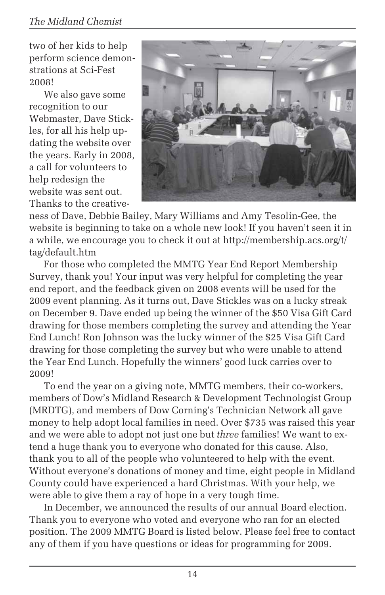two of her kids to help perform science demonstrations at Sci-Fest 2008!

We also gave some recognition to our Webmaster, Dave Stickles, for all his help updating the website over the years. Early in 2008, a call for volunteers to help redesign the website was sent out. Thanks to the creative-



ness of Dave, Debbie Bailey, Mary Williams and Amy Tesolin-Gee, the website is beginning to take on a whole new look! If you haven't seen it in a while, we encourage you to check it out at http://membership.acs.org/t/ tag/default.htm

For those who completed the MMTG Year End Report Membership Survey, thank you! Your input was very helpful for completing the year end report, and the feedback given on 2008 events will be used for the 2009 event planning. As it turns out, Dave Stickles was on a lucky streak on December 9. Dave ended up being the winner of the \$50 Visa Gift Card drawing for those members completing the survey and attending the Year End Lunch! Ron Johnson was the lucky winner of the \$25 Visa Gift Card drawing for those completing the survey but who were unable to attend the Year End Lunch. Hopefully the winners' good luck carries over to 2009!

To end the year on a giving note, MMTG members, their co-workers, members of Dow's Midland Research & Development Technologist Group (MRDTG), and members of Dow Corning's Technician Network all gave money to help adopt local families in need. Over \$735 was raised this year and we were able to adopt not just one but *three* families! We want to extend a huge thank you to everyone who donated for this cause. Also, thank you to all of the people who volunteered to help with the event. Without everyone's donations of money and time, eight people in Midland County could have experienced a hard Christmas. With your help, we were able to give them a ray of hope in a very tough time.

In December, we announced the results of our annual Board election. Thank you to everyone who voted and everyone who ran for an elected position. The 2009 MMTG Board is listed below. Please feel free to contact any of them if you have questions or ideas for programming for 2009.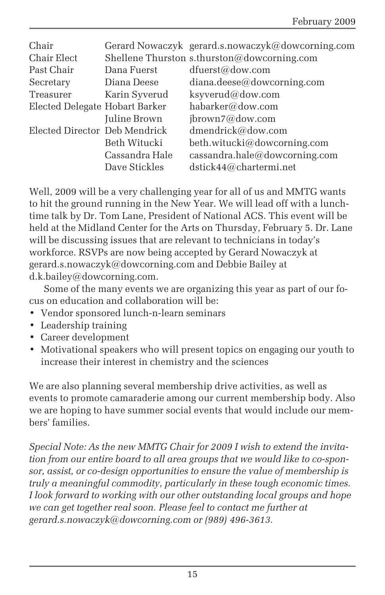| Chair                          |                | Gerard Nowaczyk gerard.s.nowaczyk@dowcorning.com |
|--------------------------------|----------------|--------------------------------------------------|
| Chair Elect                    |                | Shellene Thurston s.thurston@dowcorning.com      |
| Past Chair                     | Dana Fuerst    | dfuerst@dow.com                                  |
| Secretary                      | Diana Deese    | diana.deese@dowcorning.com                       |
| Treasurer                      | Karin Syverud  | ksyverud@dow.com                                 |
| Elected Delegate Hobart Barker |                | habarker@dow.com                                 |
|                                | Juline Brown   | ibrown7@down.com                                 |
| Elected Director Deb Mendrick  |                | dmendrick@dow.com                                |
|                                | Beth Witucki   | beth.witucki@dowcorning.com                      |
|                                | Cassandra Hale | cassandra.hale@dowcorning.com                    |
|                                | Dave Stickles  | dstick44@chartermi.net                           |
|                                |                |                                                  |

Well, 2009 will be a very challenging year for all of us and MMTG wants to hit the ground running in the New Year. We will lead off with a lunchtime talk by Dr. Tom Lane, President of National ACS. This event will be held at the Midland Center for the Arts on Thursday, February 5. Dr. Lane will be discussing issues that are relevant to technicians in today's workforce. RSVPs are now being accepted by Gerard Nowaczyk at gerard.s.nowaczyk@dowcorning.com and Debbie Bailey at d.k.bailey@dowcorning.com.

Some of the many events we are organizing this year as part of our focus on education and collaboration will be:

- Vendor sponsored lunch-n-learn seminars
- Leadership training
- Career development
- Motivational speakers who will present topics on engaging our youth to increase their interest in chemistry and the sciences

We are also planning several membership drive activities, as well as events to promote camaraderie among our current membership body. Also we are hoping to have summer social events that would include our members' families.

*Special Note: As the new MMTG Chair for 2009 I wish to extend the invitation from our entire board to all area groups that we would like to co-sponsor, assist, or co-design opportunities to ensure the value of membership is truly a meaningful commodity, particularly in these tough economic times. I look forward to working with our other outstanding local groups and hope we can get together real soon. Please feel to contact me further at gerard.s.nowaczyk@dowcorning.com or (989) 496-3613.*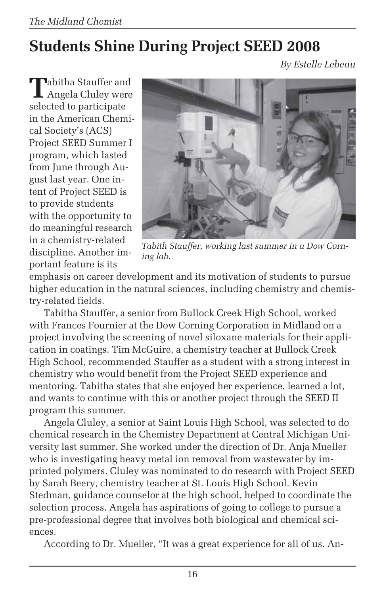## **Students Shine During Project SEED 2008**

*By Estelle Lebeau*

**T**abitha Stauffer and Angela Cluley were selected to participate in the American Chemical Society's (ACS) Project SEED Summer I program, which lasted from June through August last year. One intent of Project SEED is to provide students with the opportunity to do meaningful research in a chemistry-related discipline. Another important feature is its



*Tabith Stauffer, working last summer in a Dow Corning lab.*

emphasis on career development and its motivation of students to pursue higher education in the natural sciences, including chemistry and chemistry-related fields.

Tabitha Stauffer, a senior from Bullock Creek High School, worked with Frances Fournier at the Dow Corning Corporation in Midland on a project involving the screening of novel siloxane materials for their application in coatings. Tim McGuire, a chemistry teacher at Bullock Creek High School, recommended Stauffer as a student with a strong interest in chemistry who would benefit from the Project SEED experience and mentoring. Tabitha states that she enjoyed her experience, learned a lot, and wants to continue with this or another project through the SEED II program this summer.

Angela Cluley, a senior at Saint Louis High School, was selected to do chemical research in the Chemistry Department at Central Michigan University last summer. She worked under the direction of Dr. Anja Mueller who is investigating heavy metal ion removal from wastewater by imprinted polymers. Cluley was nominated to do research with Project SEED by Sarah Beery, chemistry teacher at St. Louis High School. Kevin Stedman, guidance counselor at the high school, helped to coordinate the selection process. Angela has aspirations of going to college to pursue a pre-professional degree that involves both biological and chemical sciences.

According to Dr. Mueller, "It was a great experience for all of us. An-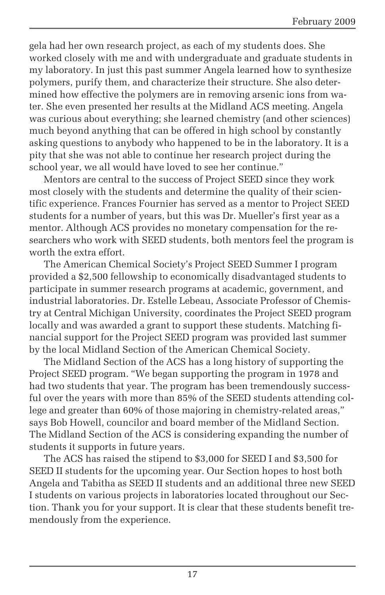gela had her own research project, as each of my students does. She worked closely with me and with undergraduate and graduate students in my laboratory. In just this past summer Angela learned how to synthesize polymers, purify them, and characterize their structure. She also determined how effective the polymers are in removing arsenic ions from water. She even presented her results at the Midland ACS meeting. Angela was curious about everything; she learned chemistry (and other sciences) much beyond anything that can be offered in high school by constantly asking questions to anybody who happened to be in the laboratory. It is a pity that she was not able to continue her research project during the school year, we all would have loved to see her continue."

Mentors are central to the success of Project SEED since they work most closely with the students and determine the quality of their scientific experience. Frances Fournier has served as a mentor to Project SEED students for a number of years, but this was Dr. Mueller's first year as a mentor. Although ACS provides no monetary compensation for the researchers who work with SEED students, both mentors feel the program is worth the extra effort.

The American Chemical Society's Project SEED Summer I program provided a \$2,500 fellowship to economically disadvantaged students to participate in summer research programs at academic, government, and industrial laboratories. Dr. Estelle Lebeau, Associate Professor of Chemistry at Central Michigan University, coordinates the Project SEED program locally and was awarded a grant to support these students. Matching financial support for the Project SEED program was provided last summer by the local Midland Section of the American Chemical Society.

The Midland Section of the ACS has a long history of supporting the Project SEED program. "We began supporting the program in 1978 and had two students that year. The program has been tremendously successful over the years with more than 85% of the SEED students attending college and greater than 60% of those majoring in chemistry-related areas," says Bob Howell, councilor and board member of the Midland Section. The Midland Section of the ACS is considering expanding the number of students it supports in future years.

The ACS has raised the stipend to \$3,000 for SEED I and \$3,500 for SEED II students for the upcoming year. Our Section hopes to host both Angela and Tabitha as SEED II students and an additional three new SEED I students on various projects in laboratories located throughout our Section. Thank you for your support. It is clear that these students benefit tremendously from the experience.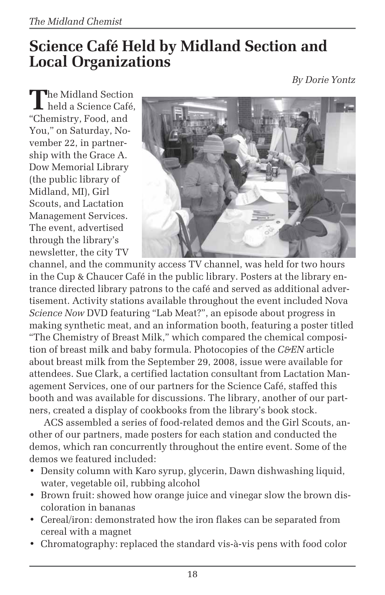## **Science Café Held by Midland Section and Local Organizations**

*By Dorie Yontz*

The Midland Section<br>
held a Science Café, "Chemistry, Food, and You," on Saturday, November 22, in partnership with the Grace A. Dow Memorial Library (the public library of Midland, MI), Girl Scouts, and Lactation Management Services. The event, advertised through the library's newsletter, the city TV



channel, and the community access TV channel, was held for two hours in the Cup & Chaucer Café in the public library. Posters at the library entrance directed library patrons to the café and served as additional advertisement. Activity stations available throughout the event included Nova *Science Now* DVD featuring "Lab Meat?", an episode about progress in making synthetic meat, and an information booth, featuring a poster titled "The Chemistry of Breast Milk," which compared the chemical composition of breast milk and baby formula. Photocopies of the *C&EN* article about breast milk from the September 29, 2008, issue were available for attendees. Sue Clark, a certified lactation consultant from Lactation Management Services, one of our partners for the Science Café, staffed this booth and was available for discussions. The library, another of our partners, created a display of cookbooks from the library's book stock.

ACS assembled a series of food-related demos and the Girl Scouts, another of our partners, made posters for each station and conducted the demos, which ran concurrently throughout the entire event. Some of the demos we featured included:

- Density column with Karo syrup, glycerin, Dawn dishwashing liquid, water, vegetable oil, rubbing alcohol
- Brown fruit: showed how orange juice and vinegar slow the brown discoloration in bananas
- Cereal/iron: demonstrated how the iron flakes can be separated from cereal with a magnet
- Chromatography: replaced the standard vis-à-vis pens with food color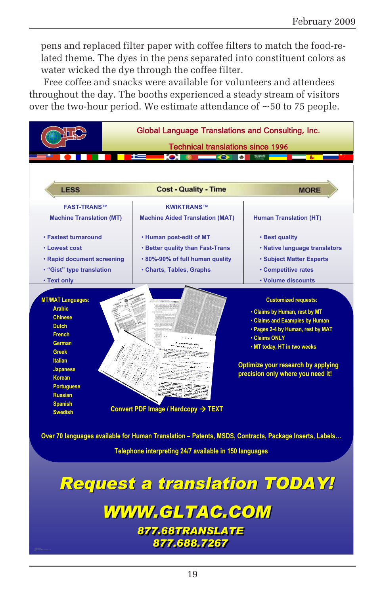pens and replaced filter paper with coffee filters to match the food-related theme. The dyes in the pens separated into constituent colors as water wicked the dye through the coffee filter.

Free coffee and snacks were available for volunteers and attendees throughout the day. The booths experienced a steady stream of visitors over the two-hour period. We estimate attendance of  $\sim$  50 to 75 people.



**Telephone interpreting 24/7 available in 150 languages**

## *Request a translation TODAY! Request a translation TODAY!*

# *WWW.GLTAC.COM WWW.GLTAC.COM*

*877.68TRANSLATE 877.68TRANSLATE 877.688.7267 877.688.7267*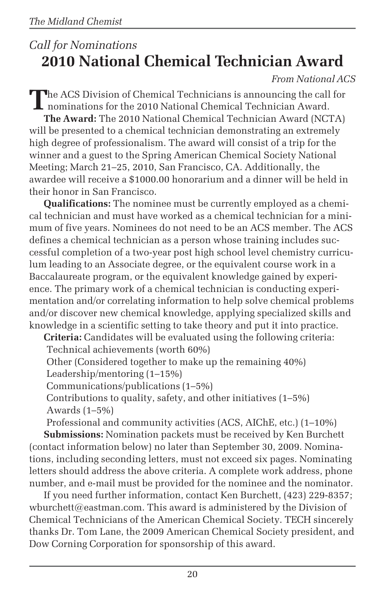## *Call for Nominations* **2010 National Chemical Technician Award**

#### *From National ACS*

The ACS Division of Chemical Technicians is announcing the call for nominations for the 2010 National Chemical Technician Award. **The Award:** The 2010 National Chemical Technician Award (NCTA) will be presented to a chemical technician demonstrating an extremely high degree of professionalism. The award will consist of a trip for the winner and a guest to the Spring American Chemical Society National Meeting; March 21–25, 2010, San Francisco, CA. Additionally, the awardee will receive a \$1000.00 honorarium and a dinner will be held in their honor in San Francisco.

**Qualifications:** The nominee must be currently employed as a chemical technician and must have worked as a chemical technician for a minimum of five years. Nominees do not need to be an ACS member. The ACS defines a chemical technician as a person whose training includes successful completion of a two-year post high school level chemistry curriculum leading to an Associate degree, or the equivalent course work in a Baccalaureate program, or the equivalent knowledge gained by experience. The primary work of a chemical technician is conducting experimentation and/or correlating information to help solve chemical problems and/or discover new chemical knowledge, applying specialized skills and knowledge in a scientific setting to take theory and put it into practice.

**Criteria:** Candidates will be evaluated using the following criteria:

Technical achievements (worth 60%)

Other (Considered together to make up the remaining 40%)

Leadership/mentoring (1–15%)

Communications/publications (1–5%)

Contributions to quality, safety, and other initiatives (1–5%) Awards (1–5%)

Professional and community activities (ACS, AIChE, etc.) (1–10%)

**Submissions:** Nomination packets must be received by Ken Burchett (contact information below) no later than September 30, 2009. Nominations, including seconding letters, must not exceed six pages. Nominating letters should address the above criteria. A complete work address, phone number, and e-mail must be provided for the nominee and the nominator.

If you need further information, contact Ken Burchett, (423) 229-8357; wburchett@eastman.com. This award is administered by the Division of Chemical Technicians of the American Chemical Society. TECH sincerely thanks Dr. Tom Lane, the 2009 American Chemical Society president, and Dow Corning Corporation for sponsorship of this award.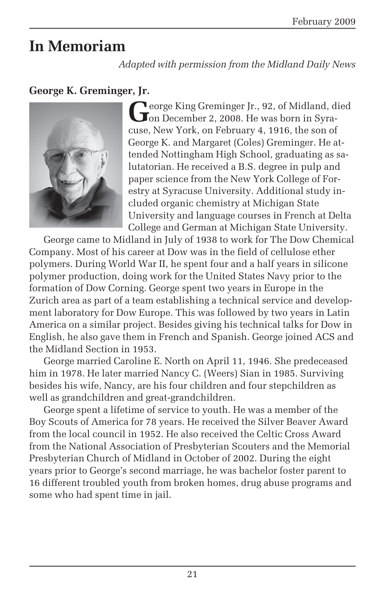## **In Memoriam**

*Adapted with permission from the Midland Daily News*

#### **George K. Greminger, Jr.**



**Leorge King Greminger Jr., 92, of Midland, died J** on December 2, 2008. He was born in Syracuse, New York, on February 4, 1916, the son of George K. and Margaret (Coles) Greminger. He attended Nottingham High School, graduating as salutatorian. He received a B.S. degree in pulp and paper science from the New York College of Forestry at Syracuse University. Additional study included organic chemistry at Michigan State University and language courses in French at Delta College and German at Michigan State University.

George came to Midland in July of 1938 to work for The Dow Chemical Company. Most of his career at Dow was in the field of cellulose ether polymers. During World War II, he spent four and a half years in silicone polymer production, doing work for the United States Navy prior to the formation of Dow Corning. George spent two years in Europe in the Zurich area as part of a team establishing a technical service and development laboratory for Dow Europe. This was followed by two years in Latin America on a similar project. Besides giving his technical talks for Dow in English, he also gave them in French and Spanish. George joined ACS and the Midland Section in 1953.

George married Caroline E. North on April 11, 1946. She predeceased him in 1978. He later married Nancy C. (Weers) Sian in 1985. Surviving besides his wife, Nancy, are his four children and four stepchildren as well as grandchildren and great-grandchildren.

George spent a lifetime of service to youth. He was a member of the Boy Scouts of America for 78 years. He received the Silver Beaver Award from the local council in 1952. He also received the Celtic Cross Award from the National Association of Presbyterian Scouters and the Memorial Presbyterian Church of Midland in October of 2002. During the eight years prior to George's second marriage, he was bachelor foster parent to 16 different troubled youth from broken homes, drug abuse programs and some who had spent time in jail.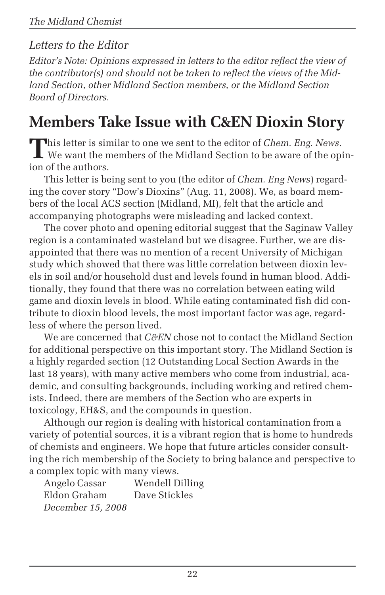### *Letters to the Editor*

*Editor's Note: Opinions expressed in letters to the editor reflect the view of the contributor(s) and should not be taken to reflect the views of the Midland Section, other Midland Section members, or the Midland Section Board of Directors.*

## **Members Take Issue with C&EN Dioxin Story**

This letter is similar to one we sent to the editor of *Chem. Eng. News.*<br>We want the members of the Midland Section to be aware of the opinion of the authors.

This letter is being sent to you (the editor of *Chem. Eng News*) regarding the cover story "Dow's Dioxins" (Aug. 11, 2008). We, as board members of the local ACS section (Midland, MI), felt that the article and accompanying photographs were misleading and lacked context.

The cover photo and opening editorial suggest that the Saginaw Valley region is a contaminated wasteland but we disagree. Further, we are disappointed that there was no mention of a recent University of Michigan study which showed that there was little correlation between dioxin levels in soil and/or household dust and levels found in human blood. Additionally, they found that there was no correlation between eating wild game and dioxin levels in blood. While eating contaminated fish did contribute to dioxin blood levels, the most important factor was age, regardless of where the person lived.

We are concerned that *C&EN* chose not to contact the Midland Section for additional perspective on this important story. The Midland Section is a highly regarded section (12 Outstanding Local Section Awards in the last 18 years), with many active members who come from industrial, academic, and consulting backgrounds, including working and retired chemists. Indeed, there are members of the Section who are experts in toxicology, EH&S, and the compounds in question.

Although our region is dealing with historical contamination from a variety of potential sources, it is a vibrant region that is home to hundreds of chemists and engineers. We hope that future articles consider consulting the rich membership of the Society to bring balance and perspective to a complex topic with many views.

Angelo Cassar Wendell Dilling Eldon Graham Dave Stickles *December 15, 2008*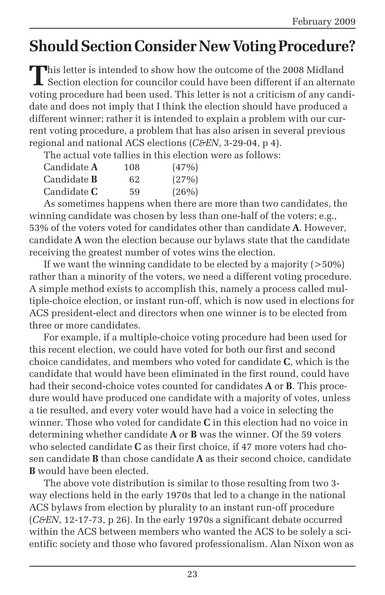## **Should Section Consider New Voting Procedure?**

This letter is intended to show how the outcome of the 2008 Midland Section election for councilor could have been different if an alternate voting procedure had been used. This letter is not a criticism of any candidate and does not imply that I think the election should have produced a different winner; rather it is intended to explain a problem with our current voting procedure, a problem that has also arisen in several previous regional and national ACS elections (*C&EN*, 3-29-04, p 4).

The actual vote tallies in this election were as follows:

| Candidate <b>A</b> | 108 | (47%) |
|--------------------|-----|-------|
| Candidate <b>B</b> | 62  | (27%) |
| Candidate <b>C</b> | 59  | (26%) |

As sometimes happens when there are more than two candidates, the winning candidate was chosen by less than one-half of the voters; e.g., 53% of the voters voted for candidates other than candidate **A**. However, candidate **A** won the election because our bylaws state that the candidate receiving the greatest number of votes wins the election.

If we want the winning candidate to be elected by a majority  $($ >50%) rather than a minority of the voters, we need a different voting procedure. A simple method exists to accomplish this, namely a process called multiple-choice election, or instant run-off, which is now used in elections for ACS president-elect and directors when one winner is to be elected from three or more candidates.

For example, if a multiple-choice voting procedure had been used for this recent election, we could have voted for both our first and second choice candidates, and members who voted for candidate **C**, which is the candidate that would have been eliminated in the first round, could have had their second-choice votes counted for candidates **A** or **B**. This procedure would have produced one candidate with a majority of votes, unless a tie resulted, and every voter would have had a voice in selecting the winner. Those who voted for candidate **C** in this election had no voice in determining whether candidate **A** or **B** was the winner. Of the 59 voters who selected candidate **C** as their first choice, if 47 more voters had chosen candidate **B** than chose candidate **A** as their second choice, candidate **B** would have been elected.

The above vote distribution is similar to those resulting from two 3 way elections held in the early 1970s that led to a change in the national ACS bylaws from election by plurality to an instant run-off procedure (*C&EN*, 12-17-73, p 26). In the early 1970s a significant debate occurred within the ACS between members who wanted the ACS to be solely a scientific society and those who favored professionalism. Alan Nixon won as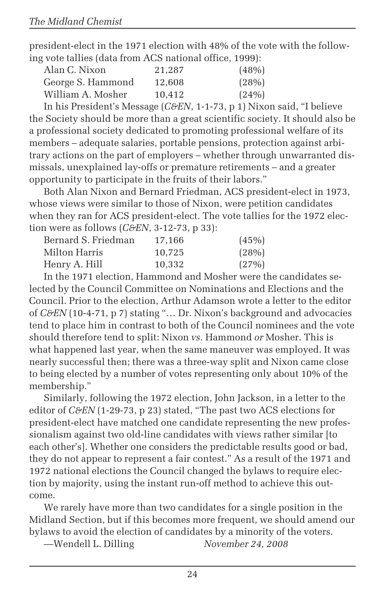president-elect in the 1971 election with 48% of the vote with the following vote tallies (data from ACS national office, 1999):

| Alan C. Nixon     | 21.287 | (48%) |
|-------------------|--------|-------|
| George S. Hammond | 12,608 | (28%) |
| William A. Mosher | 10.412 | (24%) |
|                   |        |       |

In his President's Message (*C&EN*, 1-1-73, p 1) Nixon said, "I believe the Society should be more than a great scientific society. It should also be a professional society dedicated to promoting professional welfare of its members – adequate salaries, portable pensions, protection against arbitrary actions on the part of employers – whether through unwarranted dismissals, unexplained lay-offs or premature retirements – and a greater opportunity to participate in the fruits of their labors."

Both Alan Nixon and Bernard Friedman, ACS president-elect in 1973, whose views were similar to those of Nixon, were petition candidates when they ran for ACS president-elect. The vote tallies for the 1972 election were as follows (*C&EN*, 3-12-73, p 33):

| Bernard S. Friedman | 17.166 | (45%) |
|---------------------|--------|-------|
| Milton Harris       | 10.725 | (28%) |
| Henry A. Hill       | 10.332 | (27%) |

In the 1971 election, Hammond and Mosher were the candidates selected by the Council Committee on Nominations and Elections and the Council. Prior to the election, Arthur Adamson wrote a letter to the editor of *C&EN* (10-4-71, p 7) stating "… Dr. Nixon's background and advocacies tend to place him in contrast to both of the Council nominees and the vote should therefore tend to split: Nixon *vs.* Hammond *or* Mosher. This is what happened last year, when the same maneuver was employed. It was nearly successful then; there was a three-way split and Nixon came close to being elected by a number of votes representing only about 10% of the membership."

Similarly, following the 1972 election, John Jackson, in a letter to the editor of *C&EN* (1-29-73, p 23) stated, "The past two ACS elections for president-elect have matched one candidate representing the new professionalism against two old-line candidates with views rather similar [to each other's]. Whether one considers the predictable results good or bad, they do not appear to represent a fair contest." As a result of the 1971 and 1972 national elections the Council changed the bylaws to require election by majority, using the instant run-off method to achieve this outcome.

We rarely have more than two candidates for a single position in the Midland Section, but if this becomes more frequent, we should amend our bylaws to avoid the election of candidates by a minority of the voters.

—Wendell L. Dilling *November 24, 2008*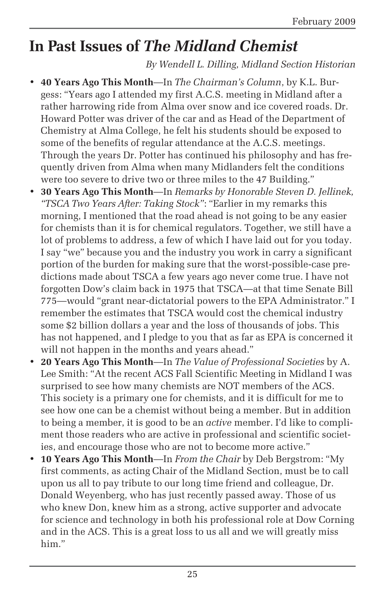## **In Past Issues of** *The Midland Chemist*

*By Wendell L. Dilling, Midland Section Historian*

- **40 Years Ago This Month**—In *The Chairman's Column*, by K.L. Burgess: "Years ago I attended my first A.C.S. meeting in Midland after a rather harrowing ride from Alma over snow and ice covered roads. Dr. Howard Potter was driver of the car and as Head of the Department of Chemistry at Alma College, he felt his students should be exposed to some of the benefits of regular attendance at the A.C.S. meetings. Through the years Dr. Potter has continued his philosophy and has frequently driven from Alma when many Midlanders felt the conditions were too severe to drive two or three miles to the 47 Building."
- **30 Years Ago This Month**—In *Remarks by Honorable Steven D. Jellinek, "TSCA Two Years After: Taking Stock"*: "Earlier in my remarks this morning, I mentioned that the road ahead is not going to be any easier for chemists than it is for chemical regulators. Together, we still have a lot of problems to address, a few of which I have laid out for you today. I say "we" because you and the industry you work in carry a significant portion of the burden for making sure that the worst-possible-case predictions made about TSCA a few years ago never come true. I have not forgotten Dow's claim back in 1975 that TSCA—at that time Senate Bill 775—would "grant near-dictatorial powers to the EPA Administrator." I remember the estimates that TSCA would cost the chemical industry some \$2 billion dollars a year and the loss of thousands of jobs. This has not happened, and I pledge to you that as far as EPA is concerned it will not happen in the months and years ahead."
- **20 Years Ago This Month**—In *The Value of Professional Societies* by A. Lee Smith: "At the recent ACS Fall Scientific Meeting in Midland I was surprised to see how many chemists are NOT members of the ACS. This society is a primary one for chemists, and it is difficult for me to see how one can be a chemist without being a member. But in addition to being a member, it is good to be an *active* member. I'd like to compliment those readers who are active in professional and scientific societies, and encourage those who are not to become more active."
- **10 Years Ago This Month**—In *From the Chair* by Deb Bergstrom: "My first comments, as acting Chair of the Midland Section, must be to call upon us all to pay tribute to our long time friend and colleague, Dr. Donald Weyenberg, who has just recently passed away. Those of us who knew Don, knew him as a strong, active supporter and advocate for science and technology in both his professional role at Dow Corning and in the ACS. This is a great loss to us all and we will greatly miss him"